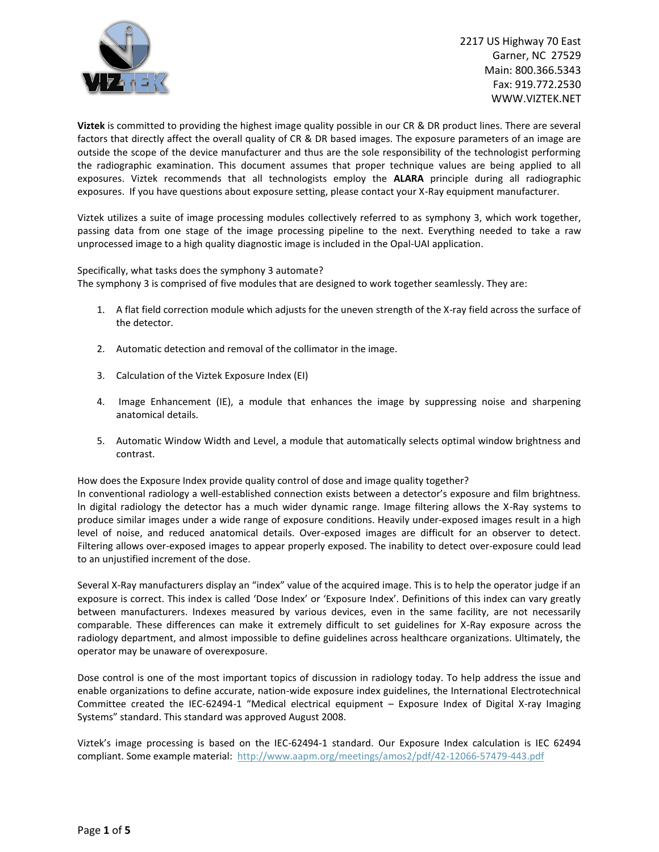

**Viztek** is committed to providing the highest image quality possible in our CR & DR product lines. There are several factors that directly affect the overall quality of CR & DR based images. The exposure parameters of an image are outside the scope of the device manufacturer and thus are the sole responsibility of the technologist performing the radiographic examination. This document assumes that proper technique values are being applied to all exposures. Viztek recommends that all technologists employ the **ALARA** principle during all radiographic exposures. If you have questions about exposure setting, please contact your X-Ray equipment manufacturer.

Viztek utilizes a suite of image processing modules collectively referred to as symphony 3, which work together, passing data from one stage of the image processing pipeline to the next. Everything needed to take a raw unprocessed image to a high quality diagnostic image is included in the Opal-UAI application.

### Specifically, what tasks does the symphony 3 automate?

The symphony 3 is comprised of five modules that are designed to work together seamlessly. They are:

- 1. A flat field correction module which adjusts for the uneven strength of the X-ray field across the surface of the detector.
- 2. Automatic detection and removal of the collimator in the image.
- 3. Calculation of the Viztek Exposure Index (EI)
- 4. Image Enhancement (IE), a module that enhances the image by suppressing noise and sharpening anatomical details.
- 5. Automatic Window Width and Level, a module that automatically selects optimal window brightness and contrast.

How does the Exposure Index provide quality control of dose and image quality together?

In conventional radiology a well-established connection exists between a detector's exposure and film brightness. In digital radiology the detector has a much wider dynamic range. Image filtering allows the X-Ray systems to produce similar images under a wide range of exposure conditions. Heavily under-exposed images result in a high level of noise, and reduced anatomical details. Over-exposed images are difficult for an observer to detect. Filtering allows over-exposed images to appear properly exposed. The inability to detect over-exposure could lead to an unjustified increment of the dose.

Several X-Ray manufacturers display an "index" value of the acquired image. This is to help the operator judge if an exposure is correct. This index is called 'Dose Index' or 'Exposure Index'. Definitions of this index can vary greatly between manufacturers. Indexes measured by various devices, even in the same facility, are not necessarily comparable. These differences can make it extremely difficult to set guidelines for X-Ray exposure across the radiology department, and almost impossible to define guidelines across healthcare organizations. Ultimately, the operator may be unaware of overexposure.

Dose control is one of the most important topics of discussion in radiology today. To help address the issue and enable organizations to define accurate, nation-wide exposure index guidelines, the International Electrotechnical Committee created the IEC-62494-1 "Medical electrical equipment – Exposure Index of Digital X-ray Imaging Systems" standard. This standard was approved August 2008.

Viztek's image processing is based on the IEC-62494-1 standard. Our Exposure Index calculation is IEC 62494 compliant. Some example material: <http://www.aapm.org/meetings/amos2/pdf/42-12066-57479-443.pdf>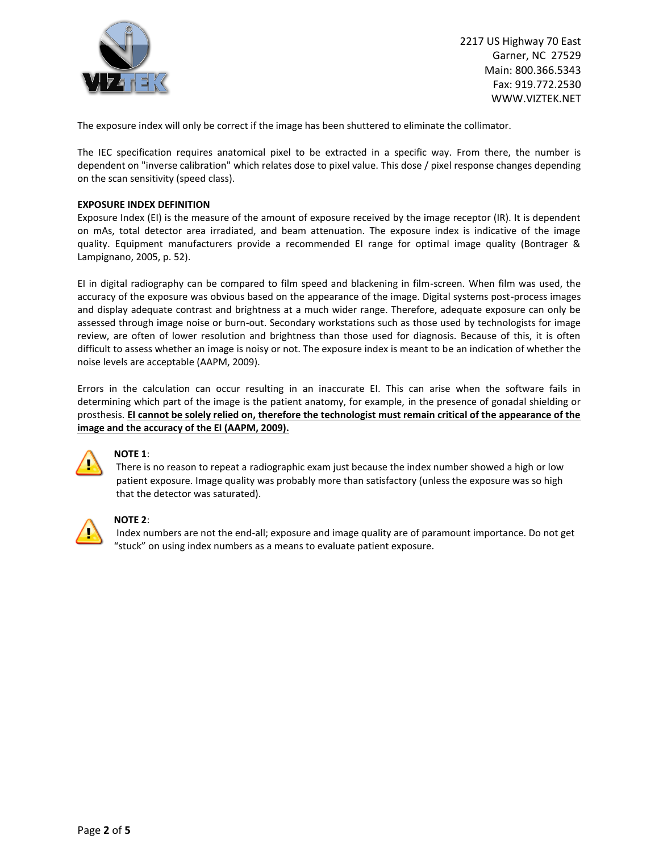

The exposure index will only be correct if the image has been shuttered to eliminate the collimator.

The IEC specification requires anatomical pixel to be extracted in a specific way. From there, the number is dependent on "inverse calibration" which relates dose to pixel value. This dose / pixel response changes depending on the scan sensitivity (speed class).

#### **EXPOSURE INDEX DEFINITION**

Exposure Index (EI) is the measure of the amount of exposure received by the image receptor (IR). It is dependent on mAs, total detector area irradiated, and beam attenuation. The exposure index is indicative of the image quality. Equipment manufacturers provide a recommended EI range for optimal image quality (Bontrager & Lampignano, 2005, p. 52).

EI in digital radiography can be compared to film speed and blackening in film-screen. When film was used, the accuracy of the exposure was obvious based on the appearance of the image. Digital systems post-process images and display adequate contrast and brightness at a much wider range. Therefore, adequate exposure can only be assessed through image noise or burn-out. Secondary workstations such as those used by technologists for image review, are often of lower resolution and brightness than those used for diagnosis. Because of this, it is often difficult to assess whether an image is noisy or not. The exposure index is meant to be an indication of whether the noise levels are acceptable (AAPM, 2009).

Errors in the calculation can occur resulting in an inaccurate EI. This can arise when the software fails in determining which part of the image is the patient anatomy, for example, in the presence of gonadal shielding or prosthesis. **EI cannot be solely relied on, therefore the technologist must remain critical of the appearance of the image and the accuracy of the EI (AAPM, 2009).** 



## **NOTE 1**:

There is no reason to repeat a radiographic exam just because the index number showed a high or low patient exposure. Image quality was probably more than satisfactory (unless the exposure was so high that the detector was saturated).



#### **NOTE 2**:

Index numbers are not the end-all; exposure and image quality are of paramount importance. Do not get "stuck" on using index numbers as a means to evaluate patient exposure.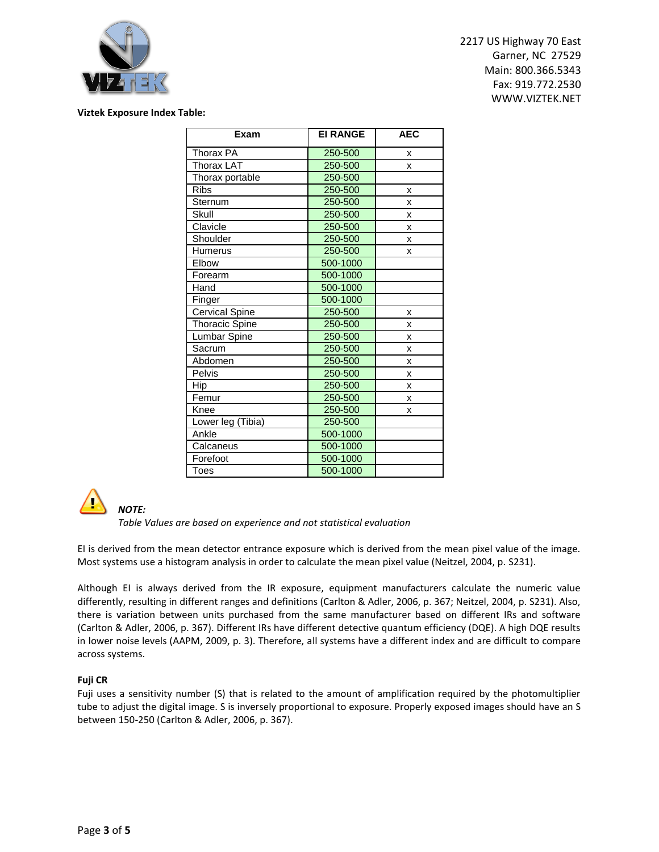

#### **Viztek Exposure Index Table:**

| Exam                  | <b>EI RANGE</b> | <b>AEC</b> |
|-----------------------|-----------------|------------|
| Thorax PA             | 250-500         | x          |
| Thorax LAT            | 250-500         | x          |
| Thorax portable       | 250-500         |            |
| <b>Ribs</b>           | 250-500         | X          |
| Sternum               | 250-500         | x          |
| Skull                 | 250-500         | X          |
| Clavicle              | 250-500         | x          |
| Shoulder              | 250-500         | x          |
| Humerus               | 250-500         | x          |
| Elbow                 | 500-1000        |            |
| Forearm               | 500-1000        |            |
| Hand                  | 500-1000        |            |
| Finger                | 500-1000        |            |
| <b>Cervical Spine</b> | 250-500         | x          |
| <b>Thoracic Spine</b> | 250-500         | x          |
| Lumbar Spine          | 250-500         | x          |
| Sacrum                | 250-500         | X          |
| Abdomen               | 250-500         | X          |
| Pelvis                | 250-500         | x          |
| Hip                   | 250-500         | X          |
| Femur                 | 250-500         | x          |
| Knee                  | 250-500         | x          |
| Lower leg (Tibia)     | 250-500         |            |
| Ankle                 | 500-1000        |            |
| Calcaneus             | 500-1000        |            |
| Forefoot              | 500-1000        |            |
| <b>Toes</b>           | 500-1000        |            |



*NOTE:*

*Table Values are based on experience and not statistical evaluation*

EI is derived from the mean detector entrance exposure which is derived from the mean pixel value of the image. Most systems use a histogram analysis in order to calculate the mean pixel value (Neitzel, 2004, p. S231).

Although EI is always derived from the IR exposure, equipment manufacturers calculate the numeric value differently, resulting in different ranges and definitions (Carlton & Adler, 2006, p. 367; Neitzel, 2004, p. S231). Also, there is variation between units purchased from the same manufacturer based on different IRs and software (Carlton & Adler, 2006, p. 367). Different IRs have different detective quantum efficiency (DQE). A high DQE results in lower noise levels (AAPM, 2009, p. 3). Therefore, all systems have a different index and are difficult to compare across systems.

# **Fuji CR**

Fuji uses a sensitivity number (S) that is related to the amount of amplification required by the photomultiplier tube to adjust the digital image. S is inversely proportional to exposure. Properly exposed images should have an S between 150-250 (Carlton & Adler, 2006, p. 367).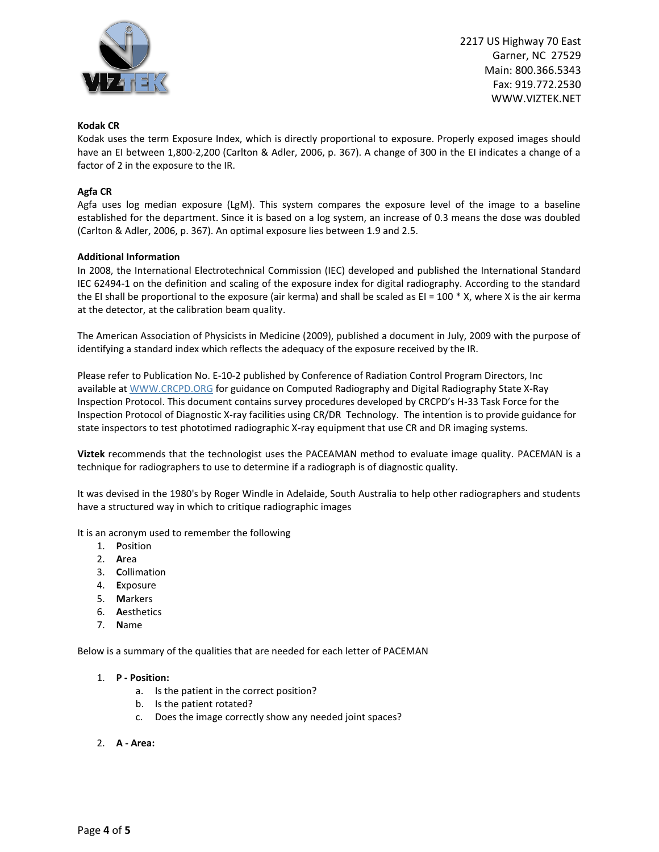

## **Kodak CR**

Kodak uses the term Exposure Index, which is directly proportional to exposure. Properly exposed images should have an EI between 1,800-2,200 (Carlton & Adler, 2006, p. 367). A change of 300 in the EI indicates a change of a factor of 2 in the exposure to the IR.

## **Agfa CR**

Agfa uses log median exposure (LgM). This system compares the exposure level of the image to a baseline established for the department. Since it is based on a log system, an increase of 0.3 means the dose was doubled (Carlton & Adler, 2006, p. 367). An optimal exposure lies between 1.9 and 2.5.

#### **Additional Information**

In 2008, the International Electrotechnical Commission (IEC) developed and published the International Standard IEC 62494-1 on the definition and scaling of the exposure index for digital radiography. According to the standard the EI shall be proportional to the exposure (air kerma) and shall be scaled as EI =  $100 * X$ , where X is the air kerma at the detector, at the calibration beam quality.

The American Association of Physicists in Medicine (2009), published a document in July, 2009 with the purpose of identifying a standard index which reflects the adequacy of the exposure received by the IR.

Please refer to Publication No. E-10-2 published by Conference of Radiation Control Program Directors, Inc available a[t WWW.CRCPD.ORG](http://www.crcpd.org/) for guidance on Computed Radiography and Digital Radiography State X-Ray Inspection Protocol. This document contains survey procedures developed by CRCPD's H-33 Task Force for the Inspection Protocol of Diagnostic X-ray facilities using CR/DR Technology. The intention is to provide guidance for state inspectors to test phototimed radiographic X-ray equipment that use CR and DR imaging systems.

**Viztek** recommends that the technologist uses the PACEAMAN method to evaluate image quality. PACEMAN is a technique for radiographers to use to determine if a radiograph is of diagnostic quality.

It was devised in the 1980's by Roger Windle in Adelaide, South Australia to help other radiographers and students have a structured way in which to critique radiographic images

- It is an acronym used to remember the following
	- 1. **P**osition
	- 2. **A**rea
	- 3. **C**ollimation
	- 4. **E**xposure
	- 5. **M**arkers
	- 6. **A**esthetics
	- 7. **N**ame

Below is a summary of the qualities that are needed for each letter of PACEMAN

#### 1. **P - Position:**

- a. Is the patient in the correct position?
- b. Is the patient rotated?
- c. Does the image correctly show any needed joint spaces?
- 2. **A - Area:**